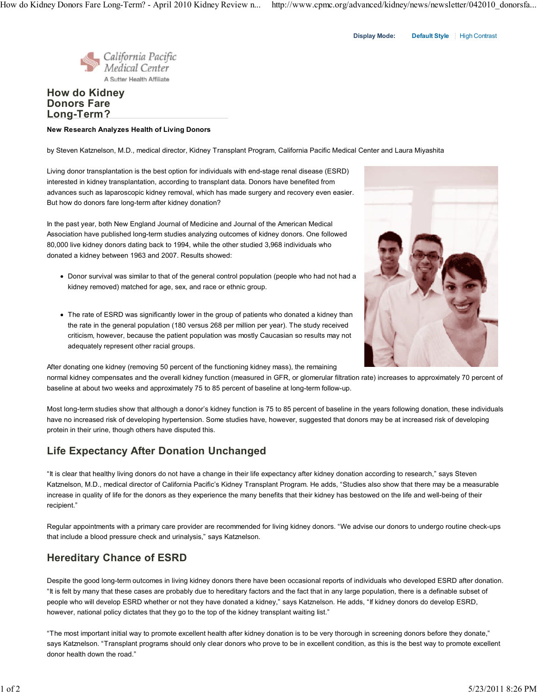Display Mode: Default Style High Contrast



### How do Kidney Donors Fare Long-Term?

#### New Research Analyzes Health of Living Donors

by Steven Katznelson, M.D., medical director, Kidney Transplant Program, California Pacific Medical Center and Laura Miyashita

Living donor transplantation is the best option for individuals with end-stage renal disease (ESRD) interested in kidney transplantation, according to transplant data. Donors have benefited from advances such as laparoscopic kidney removal, which has made surgery and recovery even easier. But how do donors fare long-term after kidney donation?

In the past year, both New England Journal of Medicine and Journal of the American Medical Association have published long-term studies analyzing outcomes of kidney donors. One followed 80,000 live kidney donors dating back to 1994, while the other studied 3,968 individuals who donated a kidney between 1963 and 2007. Results showed:

- Donor survival was similar to that of the general control population (people who had not had a kidney removed) matched for age, sex, and race or ethnic group.
- The rate of ESRD was significantly lower in the group of patients who donated a kidney than the rate in the general population (180 versus 268 per million per year). The study received criticism, however, because the patient population was mostly Caucasian so results may not adequately represent other racial groups.

After donating one kidney (removing 50 percent of the functioning kidney mass), the remaining

normal kidney compensates and the overall kidney function (measured in GFR, or glomerular filtration rate) increases to approximately 70 percent of baseline at about two weeks and approximately 75 to 85 percent of baseline at long-term follow-up.

Most long-term studies show that although a donor's kidney function is 75 to 85 percent of baseline in the years following donation, these individuals have no increased risk of developing hypertension. Some studies have, however, suggested that donors may be at increased risk of developing protein in their urine, though others have disputed this.

## Life Expectancy After Donation Unchanged

"It is clear that healthy living donors do not have a change in their life expectancy after kidney donation according to research," says Steven Katznelson, M.D., medical director of California Pacific's Kidney Transplant Program. He adds, "Studies also show that there may be a measurable increase in quality of life for the donors as they experience the many benefits that their kidney has bestowed on the life and well-being of their recipient."

Regular appointments with a primary care provider are recommended for living kidney donors. "We advise our donors to undergo routine check-ups that include a blood pressure check and urinalysis," says Katznelson.

## Hereditary Chance of ESRD

Despite the good long-term outcomes in living kidney donors there have been occasional reports of individuals who developed ESRD after donation. "It is felt by many that these cases are probably due to hereditary factors and the fact that in any large population, there is a definable subset of people who will develop ESRD whether or not they have donated a kidney," says Katznelson. He adds, "If kidney donors do develop ESRD, however, national policy dictates that they go to the top of the kidney transplant waiting list."

"The most important initial way to promote excellent health after kidney donation is to be very thorough in screening donors before they donate," says Katznelson. "Transplant programs should only clear donors who prove to be in excellent condition, as this is the best way to promote excellent donor health down the road."